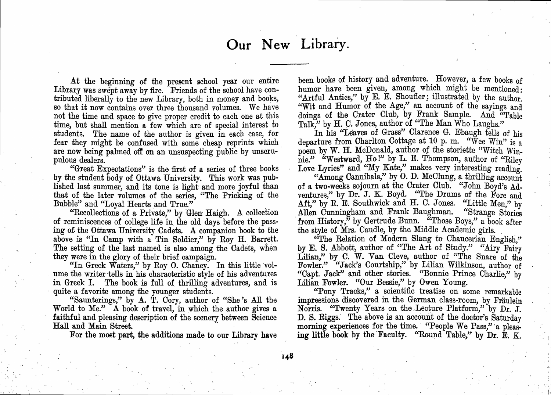At the beginning of the present school year our entire Library was swept away by fire. Friends of the school have contributed liberally to the new Library, both in money and books, so that it now contains over three thousand volumes. We have not the time and space to give proper credit to each one at this time, but shall mention <sup>a</sup> few which are of special interest to students. The name of the author is given in each case, for fear they might be confused with some cheap reprints which. are now being palmed off on an unsuspecting public by unscrupulous dealers.

"Great Expectations" is the first of <sup>a</sup> series of three books by the student body of Ottawa University. This work was published last summer, and its tone is light and more joyful than that of the later volumes of the series, "The Pricking of the Bubble" and "Loyal Hearts and True."

''Recollections of <sup>a</sup> Private," by Glen Haigh. A collection of reminiscences of college life in. the old days before the passing ot the Ottawa University Cadets. A companion book to the above is "In Camp with <sup>a</sup> Tin Soldier," by Roy H. Barrett. The setting of the last named is also among the Cadets, when they were in the glory of their brief campaign.

"In Greek Waters," by Roy O. Chaney. In this little volume the writer tells in his characteristic style of his adventures in Greek I. The book is full of thrilling adventures, and is quite <sup>a</sup> favorite among the younger students.

.

c·

"Saunterings," by A. T. Cory, author of "She's All the World to Me." A book of travel, in which the author gives <sup>a</sup> faithful and pleasing description of the scenery between Science Hall and Main Street. -

For the most part, the additions made to our Library have

been books of history and adventure. However, <sup>a</sup> few books of humor have been given, among which might be mentioned: "Artful Antics," by E. E. Shoufler; illustrated by the author. "Wit and Humor of the Age," an account of the sayings and doings of the Crater Club, by Frank Sample. And "Table Talk," by H. C. Jones, author of "The Man Who Laughs."

In his "Leaves of Grass" Clarence G. Ebaugh tells of his departure from Charlton Cottage at 10 p.m. "Wee Win" is a poem by W. H. McDonald, author of the storiette "Witch Winnie." "Westward, Ho!" by L. E. Thompson, author of "Riley" Love Lyrics" and "My Kate," makes very interesting reading.

"Among Cannibals," by O. D. McClung, a thrilling account of a two-weeks sojourn at the Crater Club. "John Boyd's Adventures," by Dr. J. K. Boyd. "The Drums of the Fore and Aft," by R. E. Southwick and H. C. Jones. "Little Men," by . Allen Cunningham and Frank Baughman. "Strange Stories from History," by Gertrude Bunn. "Those Boys," a book after the style of Mrs. Caudle, by the Middle Academic girls. .

"The Relation of Modern Slang to Chaucerian English," by E. S. Abbott, author of "The Art of Study." "Airy Fairy Lilian," by C. W. Van Cleve, author of "The Snare of the Fowler." "Jack's Courtship," by Lilian Wilkinson, author of "Capt. Jack" and other stories. "Bonnie Prince Charlie," by Lilian Fowler. "Our Bessie," by Owen Young.

"Pony Tracks," <sup>a</sup> scientific treatise on some remarkable impressions discovered in the German class-room, by Fraulein Norris. "Twenty Years on the Lecture Platform," by Dr. J. D. S. Riggs: The above is an account of the doctor's Saturday morning experiences for the time. "People We Pass," a pleas-<br>in this heads he the Fearth (Clean Luck), "he D ing little book by the Faculty. "Round Table," by Dr. E. K.

 $\frac{1}{2}$